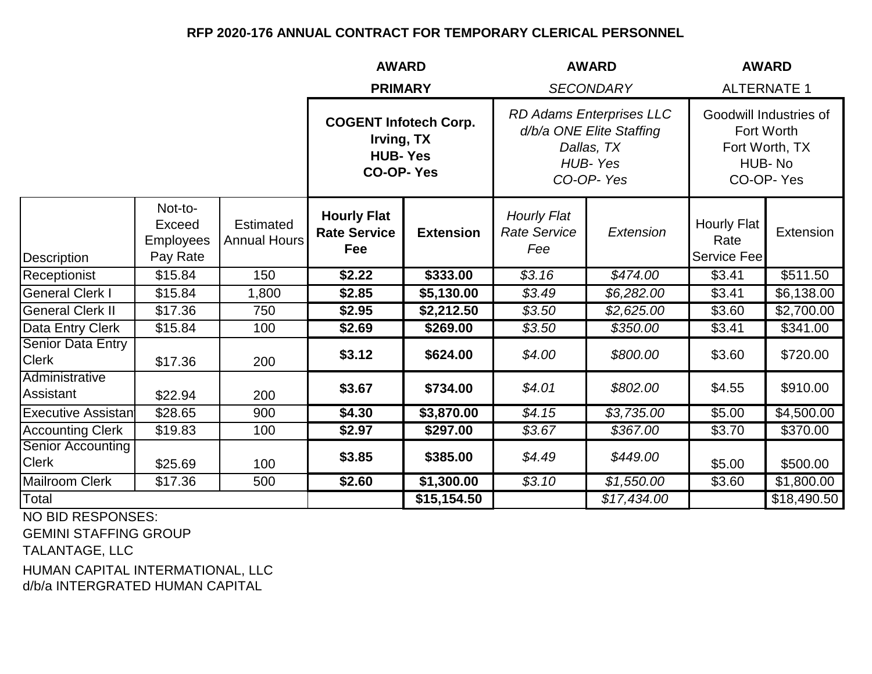|                                          |                                                   |                                         | <b>AWARD</b>                                                                     |                  | <b>AWARD</b>                                                                               |                  | <b>AWARD</b>                                                                  |             |
|------------------------------------------|---------------------------------------------------|-----------------------------------------|----------------------------------------------------------------------------------|------------------|--------------------------------------------------------------------------------------------|------------------|-------------------------------------------------------------------------------|-------------|
|                                          |                                                   |                                         | <b>PRIMARY</b>                                                                   |                  |                                                                                            | <b>SECONDARY</b> | <b>ALTERNATE 1</b>                                                            |             |
|                                          |                                                   |                                         | <b>COGENT Infotech Corp.</b><br>Irving, TX<br><b>HUB-Yes</b><br><b>CO-OP-Yes</b> |                  | RD Adams Enterprises LLC<br>d/b/a ONE Elite Staffing<br>Dallas, TX<br>HUB-Yes<br>CO-OP-Yes |                  | Goodwill Industries of<br>Fort Worth<br>Fort Worth, TX<br>HUB-No<br>CO-OP-Yes |             |
| Description                              | Not-to-<br>Exceed<br><b>Employees</b><br>Pay Rate | <b>Estimated</b><br><b>Annual Hours</b> | <b>Hourly Flat</b><br><b>Rate Service</b><br>Fee                                 | <b>Extension</b> | <b>Hourly Flat</b><br><b>Rate Service</b><br>Fee                                           | Extension        | <b>Hourly Flat</b><br>Rate<br>Service Fee                                     | Extension   |
| Receptionist                             | \$15.84                                           | 150                                     | \$2.22                                                                           | \$333.00         | \$3.16                                                                                     | \$474.00         | \$3.41                                                                        | \$511.50    |
| <b>General Clerk I</b>                   | \$15.84                                           | 1,800                                   | \$2.85                                                                           | \$5,130.00       | \$3.49                                                                                     | \$6,282.00       | \$3.41                                                                        | \$6,138.00  |
| <b>General Clerk II</b>                  | \$17.36                                           | 750                                     | \$2.95                                                                           | \$2,212.50       | \$3.50                                                                                     | \$2,625.00       | \$3.60                                                                        | \$2,700.00  |
| Data Entry Clerk                         | \$15.84                                           | 100                                     | \$2.69                                                                           | \$269.00         | \$3.50                                                                                     | \$350.00         | \$3.41                                                                        | \$341.00    |
| <b>Senior Data Entry</b><br><b>Clerk</b> | \$17.36                                           | 200                                     | \$3.12                                                                           | \$624.00         | \$4.00                                                                                     | \$800.00         | \$3.60                                                                        | \$720.00    |
| Administrative<br>Assistant              | \$22.94                                           | 200                                     | \$3.67                                                                           | \$734.00         | \$4.01                                                                                     | \$802.00         | \$4.55                                                                        | \$910.00    |
| <b>Executive Assistan</b>                | \$28.65                                           | 900                                     | \$4.30                                                                           | \$3,870.00       | $\sqrt{$4.15}$                                                                             | \$3,735.00       | \$5.00                                                                        | \$4,500.00  |
| <b>Accounting Clerk</b>                  | \$19.83                                           | 100                                     | \$2.97                                                                           | \$297.00         | \$3.67                                                                                     | \$367.00         | \$3.70                                                                        | \$370.00    |
| <b>Senior Accounting</b><br><b>Clerk</b> | \$25.69                                           | 100                                     | \$3.85                                                                           | \$385.00         | \$4.49                                                                                     | \$449.00         | \$5.00                                                                        | \$500.00    |
| <b>Mailroom Clerk</b>                    | \$17.36                                           | 500                                     | \$2.60                                                                           | \$1,300.00       | \$3.10                                                                                     | \$1,550.00       | \$3.60                                                                        | \$1,800.00  |
| Total                                    |                                                   |                                         |                                                                                  | \$15,154.50      |                                                                                            | \$17,434.00      |                                                                               | \$18,490.50 |
| NO DID DECDONOFO.                        |                                                   |                                         |                                                                                  |                  |                                                                                            |                  |                                                                               |             |

NO BID RESPONSES:

GEMINI STAFFING GROUP

TALANTAGE, LLC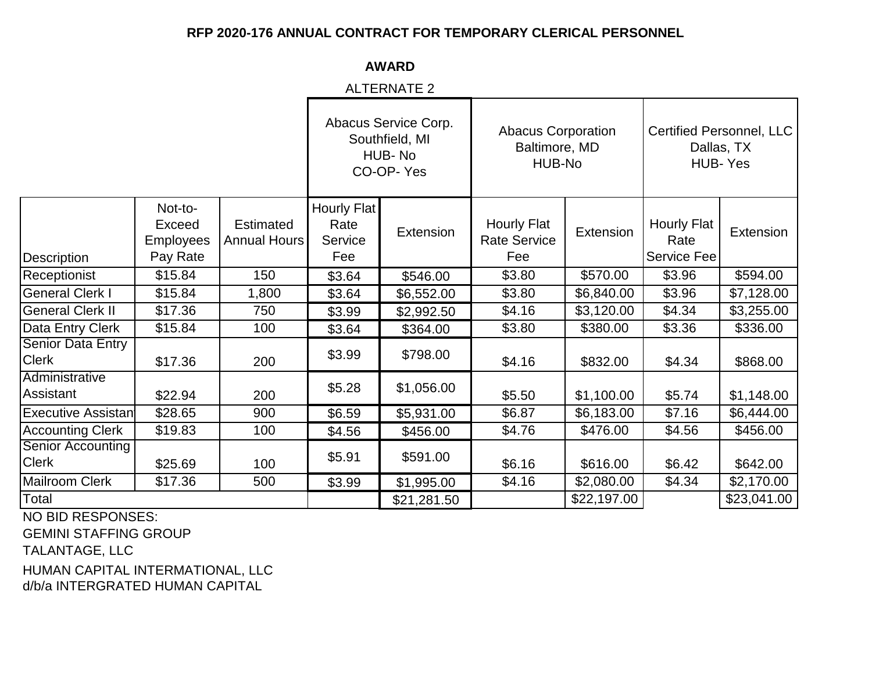**AWARD**

ALTERNATE 2

|                                          |                                                   |                                         | Abacus Service Corp.<br>Southfield, MI<br>HUB-No<br>CO-OP-Yes |             | <b>Abacus Corporation</b><br>Baltimore, MD<br>HUB-No |             | <b>Certified Personnel, LLC</b><br>Dallas, TX<br><b>HUB-Yes</b> |             |
|------------------------------------------|---------------------------------------------------|-----------------------------------------|---------------------------------------------------------------|-------------|------------------------------------------------------|-------------|-----------------------------------------------------------------|-------------|
| <b>Description</b>                       | Not-to-<br>Exceed<br><b>Employees</b><br>Pay Rate | <b>Estimated</b><br><b>Annual Hours</b> | <b>Hourly Flat</b><br>Rate<br>Service<br>Fee                  | Extension   | Hourly Flat<br><b>Rate Service</b><br>Fee            | Extension   | <b>Hourly Flat</b><br>Rate<br>Service Fee                       | Extension   |
| Receptionist                             | \$15.84                                           | 150                                     | \$3.64                                                        | \$546.00    | \$3.80                                               | \$570.00    | \$3.96                                                          | \$594.00    |
| <b>General Clerk I</b>                   | \$15.84                                           | 1,800                                   | \$3.64                                                        | \$6,552.00  | \$3.80                                               | \$6,840.00  | \$3.96                                                          | \$7,128.00  |
| <b>General Clerk II</b>                  | \$17.36                                           | 750                                     | \$3.99                                                        | \$2,992.50  | \$4.16                                               | \$3,120.00  | \$4.34                                                          | \$3,255.00  |
| Data Entry Clerk                         | \$15.84                                           | 100                                     | \$3.64                                                        | \$364.00    | \$3.80                                               | \$380.00    | \$3.36                                                          | \$336.00    |
| <b>Senior Data Entry</b><br><b>Clerk</b> | \$17.36                                           | 200                                     | \$3.99                                                        | \$798.00    | \$4.16                                               | \$832.00    | \$4.34                                                          | \$868.00    |
| Administrative<br>Assistant              | \$22.94                                           | 200                                     | \$5.28                                                        | \$1,056.00  | \$5.50                                               | \$1,100.00  | \$5.74                                                          | \$1,148.00  |
| <b>Executive Assistan</b>                | \$28.65                                           | 900                                     | \$6.59                                                        | \$5,931.00  | \$6.87                                               | \$6,183.00  | \$7.16                                                          | \$6,444.00  |
| <b>Accounting Clerk</b>                  | \$19.83                                           | 100                                     | \$4.56                                                        | \$456.00    | \$4.76                                               | \$476.00    | \$4.56                                                          | \$456.00    |
| <b>Senior Accounting</b><br><b>Clerk</b> | \$25.69                                           | 100                                     | \$5.91                                                        | \$591.00    | \$6.16                                               | \$616.00    | \$6.42                                                          | \$642.00    |
| <b>Mailroom Clerk</b>                    | \$17.36                                           | 500                                     | \$3.99                                                        | \$1,995.00  | \$4.16                                               | \$2,080.00  | \$4.34                                                          | \$2,170.00  |
| Total                                    |                                                   |                                         |                                                               | \$21,281.50 |                                                      | \$22,197.00 |                                                                 | \$23,041.00 |

NO BID RESPONSES:

GEMINI STAFFING GROUP

TALANTAGE, LLC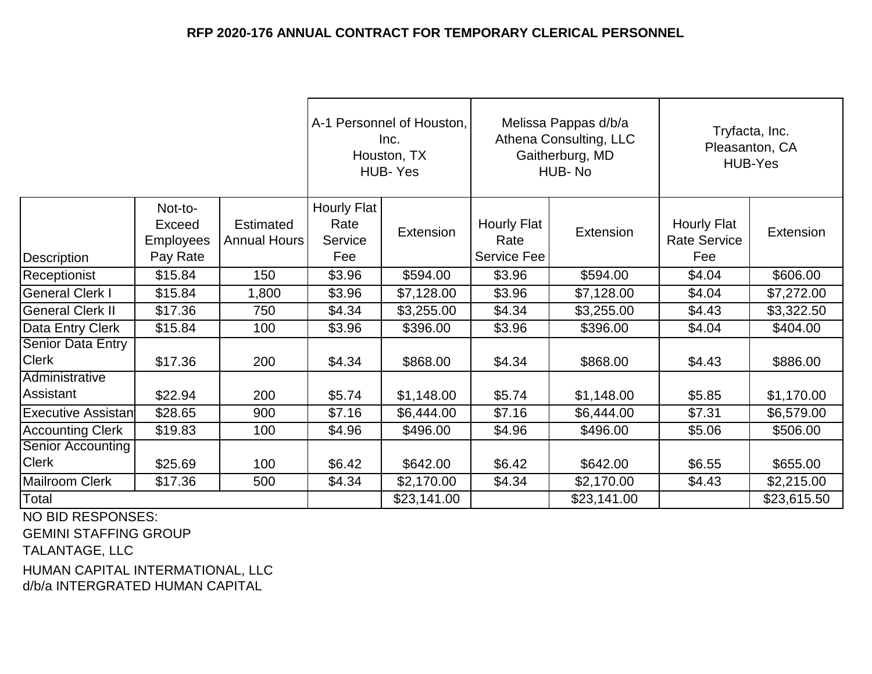|                                          |                                                   |                                         | A-1 Personnel of Houston,<br>Inc.<br>Houston, TX<br><b>HUB-Yes</b> |             | Melissa Pappas d/b/a<br>Athena Consulting, LLC<br>Gaitherburg, MD<br>HUB-No |             | Tryfacta, Inc.<br>Pleasanton, CA<br><b>HUB-Yes</b> |             |
|------------------------------------------|---------------------------------------------------|-----------------------------------------|--------------------------------------------------------------------|-------------|-----------------------------------------------------------------------------|-------------|----------------------------------------------------|-------------|
| Description                              | Not-to-<br>Exceed<br><b>Employees</b><br>Pay Rate | <b>Estimated</b><br><b>Annual Hours</b> | <b>Hourly Flat</b><br>Rate<br>Service<br>Fee                       | Extension   | <b>Hourly Flat</b><br>Rate<br>Service Fee                                   | Extension   | Hourly Flat<br><b>Rate Service</b><br>Fee          | Extension   |
| Receptionist                             | \$15.84                                           | 150                                     | \$3.96                                                             | \$594.00    | \$3.96                                                                      | \$594.00    | \$4.04                                             | \$606.00    |
| <b>General Clerk I</b>                   | \$15.84                                           | 1,800                                   | \$3.96                                                             | \$7,128.00  | \$3.96                                                                      | \$7,128.00  | \$4.04                                             | \$7,272.00  |
| <b>General Clerk II</b>                  | \$17.36                                           | 750                                     | \$4.34                                                             | \$3,255.00  | \$4.34                                                                      | \$3,255.00  | \$4.43                                             | \$3,322.50  |
| Data Entry Clerk                         | \$15.84                                           | 100                                     | \$3.96                                                             | \$396.00    | \$3.96                                                                      | \$396.00    | \$4.04                                             | \$404.00    |
| <b>Senior Data Entry</b><br><b>Clerk</b> | \$17.36                                           | 200                                     | \$4.34                                                             | \$868.00    | \$4.34                                                                      | \$868.00    | \$4.43                                             | \$886.00    |
| Administrative<br>Assistant              | \$22.94                                           | 200                                     | \$5.74                                                             | \$1,148.00  | \$5.74                                                                      | \$1,148.00  | \$5.85                                             | \$1,170.00  |
| <b>Executive Assistan</b>                | \$28.65                                           | 900                                     | \$7.16                                                             | \$6,444.00  | \$7.16                                                                      | \$6,444.00  | \$7.31                                             | \$6,579.00  |
| <b>Accounting Clerk</b>                  | \$19.83                                           | 100                                     | \$4.96                                                             | \$496.00    | \$4.96                                                                      | \$496.00    | \$5.06                                             | \$506.00    |
| <b>Senior Accounting</b><br><b>Clerk</b> | \$25.69                                           | 100                                     | \$6.42                                                             | \$642.00    | \$6.42<br>\$642.00                                                          |             | \$6.55                                             | \$655.00    |
| Mailroom Clerk                           | \$17.36                                           | 500                                     | \$4.34                                                             | \$2,170.00  | \$4.34                                                                      | \$2,170.00  | \$4.43                                             | \$2,215.00  |
| Total<br>$- - - - - - - - - -$           |                                                   |                                         |                                                                    | \$23,141.00 |                                                                             | \$23,141.00 |                                                    | \$23,615.50 |

NO BID RESPONSES:

GEMINI STAFFING GROUP

TALANTAGE, LLC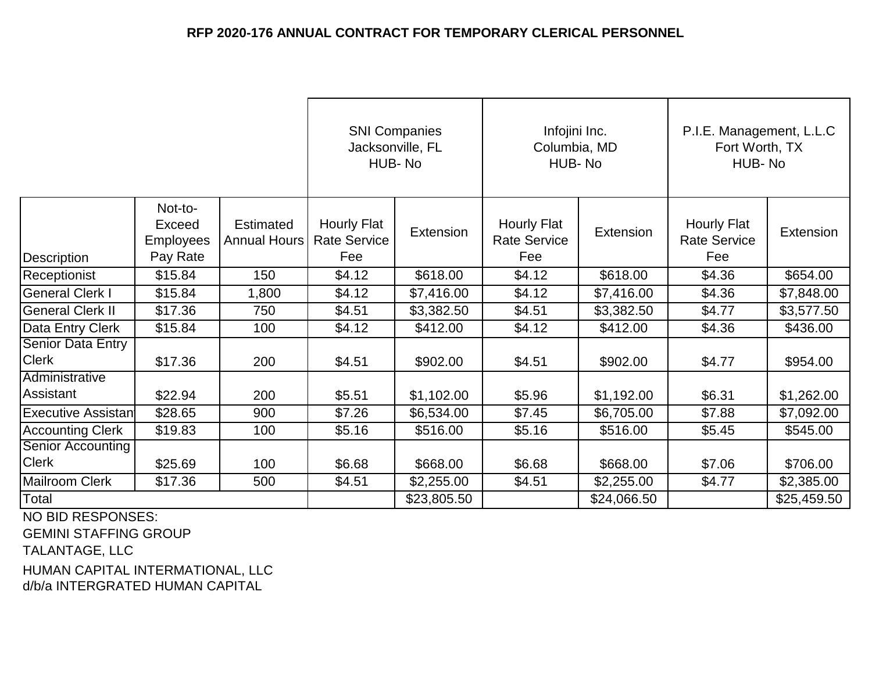|                                   |                                                   |                           | <b>SNI Companies</b><br>Jacksonville, FL<br>HUB-No |             | Infojini Inc.<br>Columbia, MD<br>HUB-No          |             | P.I.E. Management, L.L.C<br>Fort Worth, TX<br>HUB-No |             |
|-----------------------------------|---------------------------------------------------|---------------------------|----------------------------------------------------|-------------|--------------------------------------------------|-------------|------------------------------------------------------|-------------|
| Description                       | Not-to-<br>Exceed<br><b>Employees</b><br>Pay Rate | Estimated<br>Annual Hours | Hourly Flat<br><b>Rate Service</b><br>Fee          | Extension   | <b>Hourly Flat</b><br><b>Rate Service</b><br>Fee | Extension   | <b>Hourly Flat</b><br><b>Rate Service</b><br>Fee     | Extension   |
| Receptionist                      | \$15.84                                           | 150                       | \$4.12                                             | \$618.00    | \$4.12                                           | \$618.00    | \$4.36                                               | \$654.00    |
| <b>General Clerk I</b>            | \$15.84                                           | 1,800                     | \$4.12                                             | \$7,416.00  | \$4.12                                           | \$7,416.00  | \$4.36                                               | \$7,848.00  |
| <b>General Clerk II</b>           | \$17.36                                           | 750                       | \$4.51                                             | \$3,382.50  | \$4.51                                           | \$3,382.50  | \$4.77                                               | \$3,577.50  |
| Data Entry Clerk                  | \$15.84                                           | 100                       | \$4.12                                             | \$412.00    | \$4.12                                           | \$412.00    | \$4.36                                               | \$436.00    |
| Senior Data Entry<br><b>Clerk</b> | \$17.36                                           | 200                       | \$4.51                                             | \$902.00    | \$4.51                                           | \$902.00    | \$4.77                                               | \$954.00    |
| Administrative<br>Assistant       | \$22.94                                           | 200                       | \$5.51                                             | \$1,102.00  | \$5.96                                           | \$1,192.00  | \$6.31                                               | \$1,262.00  |
| <b>Executive Assistan</b>         | \$28.65                                           | 900                       | \$7.26                                             | \$6,534.00  | \$7.45                                           | \$6,705.00  | \$7.88                                               | \$7,092.00  |
| <b>Accounting Clerk</b>           | \$19.83                                           | 100                       | \$5.16                                             | \$516.00    | \$5.16                                           | \$516.00    | \$5.45                                               | \$545.00    |
| <b>Senior Accounting</b>          |                                                   |                           |                                                    |             |                                                  |             |                                                      |             |
| <b>Clerk</b>                      | \$25.69                                           | 100                       | \$6.68                                             | \$668.00    | \$6.68                                           | \$668.00    | \$7.06                                               | \$706.00    |
| Mailroom Clerk                    | \$17.36                                           | 500                       | \$4.51                                             | \$2,255.00  | \$4.51                                           | \$2,255.00  | \$4.77                                               | \$2,385.00  |
| Total<br>$\frac{1}{2}$            |                                                   |                           |                                                    | \$23,805.50 |                                                  | \$24,066.50 |                                                      | \$25,459.50 |

NO BID RESPONSES:

GEMINI STAFFING GROUP

TALANTAGE, LLC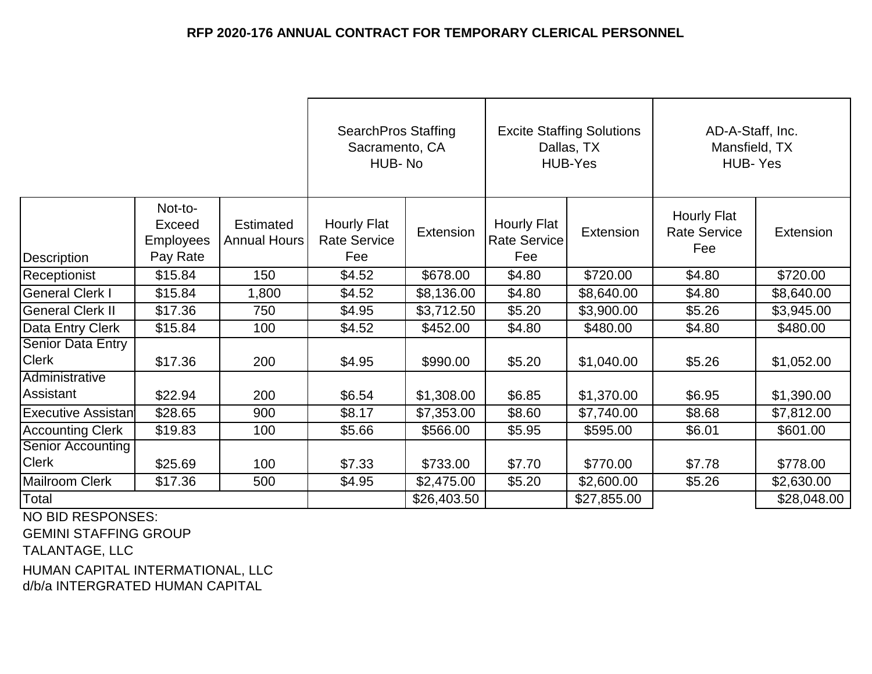|                                          |                                                   |                                         | <b>SearchPros Staffing</b><br>Sacramento, CA<br>HUB-No |             | <b>Excite Staffing Solutions</b><br>Dallas, TX<br><b>HUB-Yes</b> |             | AD-A-Staff, Inc.<br>Mansfield, TX<br>HUB-Yes |             |
|------------------------------------------|---------------------------------------------------|-----------------------------------------|--------------------------------------------------------|-------------|------------------------------------------------------------------|-------------|----------------------------------------------|-------------|
| Description                              | Not-to-<br>Exceed<br><b>Employees</b><br>Pay Rate | <b>Estimated</b><br><b>Annual Hours</b> | Hourly Flat<br><b>Rate Service</b><br>Fee              | Extension   | Hourly Flat<br><b>Rate Service</b><br>Fee                        | Extension   | Hourly Flat<br><b>Rate Service</b><br>Fee    | Extension   |
| Receptionist                             | \$15.84                                           | 150                                     | \$4.52                                                 | \$678.00    | \$4.80                                                           | \$720.00    | \$4.80                                       | \$720.00    |
| <b>General Clerk I</b>                   | \$15.84                                           | 1,800                                   | \$4.52                                                 | \$8,136.00  | \$4.80                                                           | \$8,640.00  | \$4.80                                       | \$8,640.00  |
| <b>General Clerk II</b>                  | \$17.36                                           | 750                                     | \$4.95                                                 | \$3,712.50  | \$5.20                                                           | \$3,900.00  | \$5.26                                       | \$3,945.00  |
| Data Entry Clerk                         | \$15.84                                           | 100                                     | \$4.52                                                 | \$452.00    | \$4.80                                                           | \$480.00    | \$4.80                                       | \$480.00    |
| <b>Senior Data Entry</b><br><b>Clerk</b> | \$17.36                                           | 200                                     | \$4.95                                                 | \$990.00    | \$5.20                                                           | \$1,040.00  | \$5.26                                       | \$1,052.00  |
| Administrative<br>Assistant              | \$22.94                                           | 200                                     | \$6.54                                                 | \$1,308.00  | \$6.85                                                           | \$1,370.00  | \$6.95                                       | \$1,390.00  |
| <b>Executive Assistan</b>                | \$28.65                                           | 900                                     | \$8.17                                                 | \$7,353.00  | \$8.60                                                           | \$7,740.00  | \$8.68                                       | \$7,812.00  |
| <b>Accounting Clerk</b>                  | \$19.83                                           | 100                                     | \$5.66                                                 | \$566.00    | \$5.95                                                           | \$595.00    | \$6.01                                       | \$601.00    |
| <b>Senior Accounting</b>                 |                                                   |                                         |                                                        |             |                                                                  |             |                                              |             |
| <b>Clerk</b>                             | \$25.69                                           | 100                                     | \$7.33                                                 | \$733.00    | \$7.70                                                           | \$770.00    | \$7.78                                       | \$778.00    |
| Mailroom Clerk                           | \$17.36                                           | 500                                     | \$4.95                                                 | \$2,475.00  | \$5.20                                                           | \$2,600.00  | \$5.26                                       | \$2,630.00  |
| Total<br>$\frac{1}{2}$                   |                                                   |                                         |                                                        | \$26,403.50 |                                                                  | \$27,855.00 |                                              | \$28,048.00 |

NO BID RESPONSES:

GEMINI STAFFING GROUP

TALANTAGE, LLC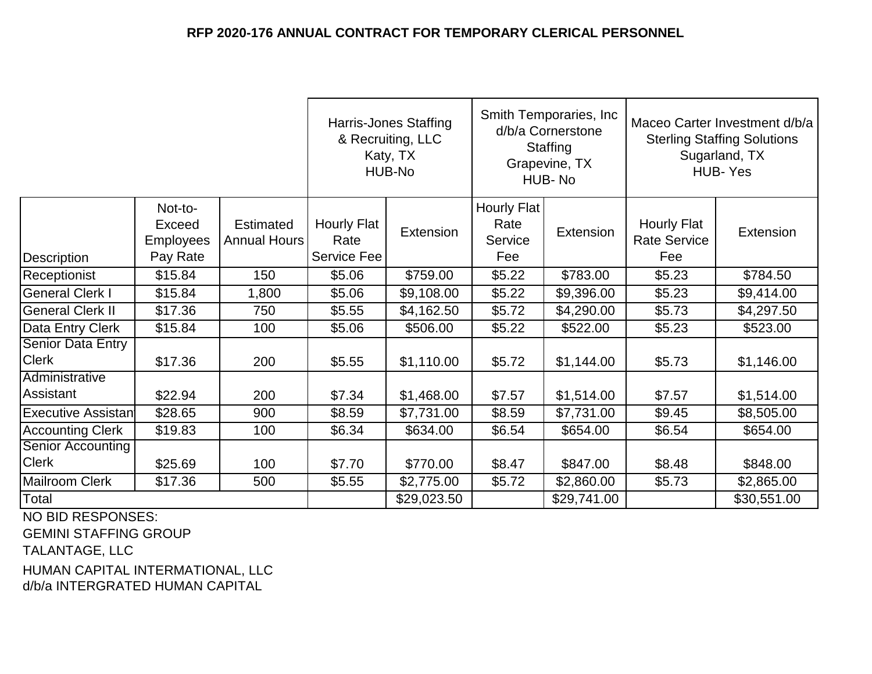|                                          |                                            |                                  | <b>Harris-Jones Staffing</b><br>& Recruiting, LLC<br>Katy, TX<br>HUB-No |             | Smith Temporaries, Inc.<br>d/b/a Cornerstone<br>Staffing<br>Grapevine, TX<br>HUB-No |             | Maceo Carter Investment d/b/a<br><b>Sterling Staffing Solutions</b><br>Sugarland, TX<br><b>HUB-Yes</b> |             |
|------------------------------------------|--------------------------------------------|----------------------------------|-------------------------------------------------------------------------|-------------|-------------------------------------------------------------------------------------|-------------|--------------------------------------------------------------------------------------------------------|-------------|
| Description                              | Not-to-<br>Exceed<br>Employees<br>Pay Rate | <b>Estimated</b><br>Annual Hours | Hourly Flat<br>Rate<br>Service Fee                                      | Extension   | Hourly Flat<br>Rate<br>Service<br>Fee                                               | Extension   | <b>Hourly Flat</b><br><b>Rate Service</b><br>Fee                                                       | Extension   |
| Receptionist                             | \$15.84                                    | 150                              | \$5.06                                                                  | \$759.00    | \$5.22                                                                              | \$783.00    | \$5.23                                                                                                 | \$784.50    |
| <b>General Clerk I</b>                   | \$15.84                                    | 1,800                            | \$5.06                                                                  | \$9,108.00  | \$5.22                                                                              | \$9,396.00  | \$5.23                                                                                                 | \$9,414.00  |
| <b>General Clerk II</b>                  | \$17.36                                    | 750                              | \$5.55                                                                  | \$4,162.50  | \$5.72                                                                              | \$4,290.00  | \$5.73                                                                                                 | \$4,297.50  |
| Data Entry Clerk                         | \$15.84                                    | 100                              | \$5.06                                                                  | \$506.00    | \$5.22                                                                              | \$522.00    | \$5.23                                                                                                 | \$523.00    |
| <b>Senior Data Entry</b><br><b>Clerk</b> | \$17.36                                    | 200                              | \$5.55                                                                  | \$1,110.00  | \$5.72                                                                              | \$1,144.00  | \$5.73                                                                                                 | \$1,146.00  |
| Administrative                           |                                            |                                  |                                                                         |             |                                                                                     |             |                                                                                                        |             |
| Assistant                                | \$22.94                                    | 200                              | \$7.34                                                                  | \$1,468.00  | \$7.57                                                                              | \$1,514.00  | \$7.57                                                                                                 | \$1,514.00  |
| <b>Executive Assistan</b>                | \$28.65                                    | 900                              | \$8.59                                                                  | \$7,731.00  | \$8.59                                                                              | \$7,731.00  | \$9.45                                                                                                 | \$8,505.00  |
| <b>Accounting Clerk</b>                  | \$19.83                                    | 100                              | \$6.34                                                                  | \$634.00    | \$6.54                                                                              | \$654.00    | \$6.54                                                                                                 | \$654.00    |
| <b>Senior Accounting</b>                 |                                            |                                  |                                                                         |             |                                                                                     |             |                                                                                                        |             |
| <b>Clerk</b>                             | \$25.69                                    | 100                              | \$7.70                                                                  | \$770.00    | \$8.47                                                                              | \$847.00    | \$8.48                                                                                                 | \$848.00    |
| <b>Mailroom Clerk</b>                    | \$17.36                                    | 500                              | \$5.55                                                                  | \$2,775.00  | \$5.72                                                                              | \$2,860.00  | \$5.73                                                                                                 | \$2,865.00  |
| Total                                    |                                            |                                  |                                                                         | \$29,023.50 |                                                                                     | \$29,741.00 |                                                                                                        | \$30,551.00 |

NO BID RESPONSES:

GEMINI STAFFING GROUP

TALANTAGE, LLC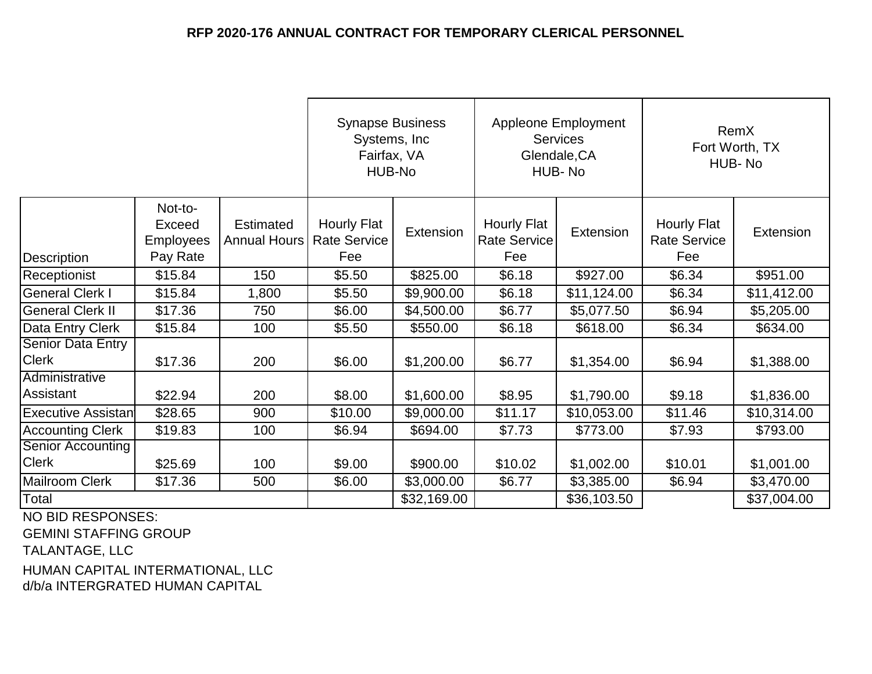|                                          |                                            |                                         | <b>Synapse Business</b><br>Systems, Inc.<br>Fairfax, VA<br>HUB-No |             | <b>Appleone Employment</b><br><b>Services</b><br>Glendale, CA<br>HUB-No |             | RemX<br>Fort Worth, TX<br>HUB-No                 |             |
|------------------------------------------|--------------------------------------------|-----------------------------------------|-------------------------------------------------------------------|-------------|-------------------------------------------------------------------------|-------------|--------------------------------------------------|-------------|
| Description                              | Not-to-<br>Exceed<br>Employees<br>Pay Rate | <b>Estimated</b><br><b>Annual Hours</b> | <b>Hourly Flat</b><br><b>Rate Service</b><br>Fee                  | Extension   | <b>Hourly Flat</b><br><b>Rate Service</b><br>Fee                        | Extension   | <b>Hourly Flat</b><br><b>Rate Service</b><br>Fee | Extension   |
| Receptionist                             | \$15.84                                    | 150                                     | \$5.50                                                            | \$825.00    | \$6.18                                                                  | \$927.00    | \$6.34                                           | \$951.00    |
| <b>General Clerk I</b>                   | \$15.84                                    | 1,800                                   | \$5.50                                                            | \$9,900.00  | \$6.18                                                                  | \$11,124.00 | \$6.34                                           | \$11,412.00 |
| <b>General Clerk II</b>                  | \$17.36                                    | 750                                     | \$6.00                                                            | \$4,500.00  | \$6.77                                                                  | \$5,077.50  | \$6.94                                           | \$5,205.00  |
| Data Entry Clerk                         | \$15.84                                    | 100                                     | \$5.50                                                            | \$550.00    | \$6.18                                                                  | \$618.00    | \$6.34                                           | \$634.00    |
| <b>Senior Data Entry</b><br><b>Clerk</b> | \$17.36                                    | 200                                     | \$6.00                                                            | \$1,200.00  | \$6.77                                                                  | \$1,354.00  | \$6.94                                           | \$1,388.00  |
| Administrative<br>Assistant              | \$22.94                                    | 200                                     | \$8.00                                                            | \$1,600.00  | \$8.95                                                                  | \$1,790.00  | \$9.18                                           | \$1,836.00  |
| <b>Executive Assistan</b>                | \$28.65                                    | 900                                     | \$10.00                                                           | \$9,000.00  | \$11.17                                                                 | \$10,053.00 | \$11.46                                          | \$10,314.00 |
| <b>Accounting Clerk</b>                  | \$19.83                                    | 100                                     | \$6.94                                                            | \$694.00    | \$7.73                                                                  | \$773.00    | \$7.93                                           | \$793.00    |
| <b>Senior Accounting</b><br><b>Clerk</b> | \$25.69                                    | 100                                     | \$9.00                                                            | \$900.00    | \$10.02                                                                 | \$1,002.00  | \$10.01                                          | \$1,001.00  |
| Mailroom Clerk                           | \$17.36                                    | 500                                     | \$6.00                                                            | \$3,000.00  | \$6.77                                                                  | \$3,385.00  | \$6.94                                           | \$3,470.00  |
| Total                                    |                                            |                                         |                                                                   | \$32,169.00 |                                                                         | \$36,103.50 |                                                  | \$37,004.00 |

NO BID RESPONSES:

GEMINI STAFFING GROUP

TALANTAGE, LLC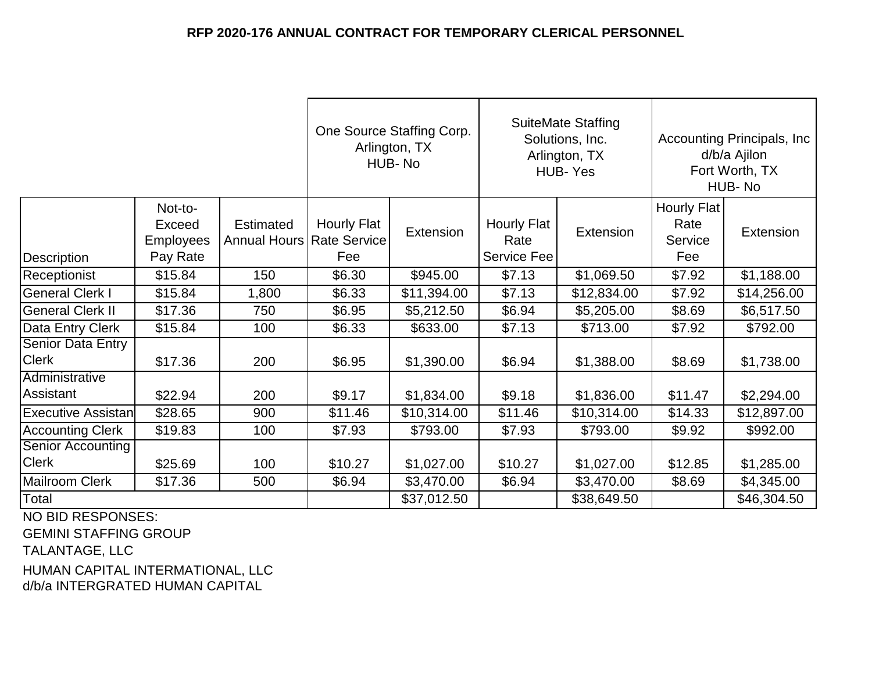|                                          |                                                          |                                                 | One Source Staffing Corp.<br>Arlington, TX<br>HUB-No |             | <b>SuiteMate Staffing</b><br>Solutions, Inc.<br>Arlington, TX<br>HUB-Yes |             | Accounting Principals, Inc.<br>d/b/a Ajilon<br>Fort Worth, TX<br>HUB-No |             |
|------------------------------------------|----------------------------------------------------------|-------------------------------------------------|------------------------------------------------------|-------------|--------------------------------------------------------------------------|-------------|-------------------------------------------------------------------------|-------------|
| Description                              | Not-to-<br><b>Exceed</b><br><b>Employees</b><br>Pay Rate | <b>Estimated</b><br>Annual Hours   Rate Service | Hourly Flat<br>Fee                                   | Extension   | Hourly Flat<br>Rate<br>Service Fee                                       | Extension   | Hourly Flat<br>Rate<br>Service<br>Fee                                   | Extension   |
| Receptionist                             | \$15.84                                                  | 150                                             | \$6.30                                               | \$945.00    | \$7.13                                                                   | \$1,069.50  | \$7.92                                                                  | \$1,188.00  |
| <b>General Clerk I</b>                   | \$15.84                                                  | 1,800                                           | \$6.33                                               | \$11,394.00 | \$7.13                                                                   | \$12,834.00 | \$7.92                                                                  | \$14,256.00 |
| <b>General Clerk II</b>                  | \$17.36                                                  | 750                                             | \$6.95                                               | \$5,212.50  | \$6.94                                                                   | \$5,205.00  | \$8.69                                                                  | \$6,517.50  |
| Data Entry Clerk                         | \$15.84                                                  | 100                                             | \$6.33                                               | \$633.00    | \$7.13                                                                   | \$713.00    | \$7.92                                                                  | \$792.00    |
| <b>Senior Data Entry</b><br><b>Clerk</b> | \$17.36                                                  | 200                                             | \$6.95                                               | \$1,390.00  | \$6.94                                                                   | \$1,388.00  | \$8.69                                                                  | \$1,738.00  |
| Administrative<br>Assistant              | \$22.94                                                  | 200                                             | \$9.17                                               | \$1,834.00  | \$9.18                                                                   | \$1,836.00  | \$11.47                                                                 | \$2,294.00  |
| <b>Executive Assistan</b>                | \$28.65                                                  | 900                                             | \$11.46                                              | \$10,314.00 | \$11.46                                                                  | \$10,314.00 | \$14.33                                                                 | \$12,897.00 |
| <b>Accounting Clerk</b>                  | \$19.83                                                  | 100                                             | \$7.93                                               | \$793.00    | \$7.93                                                                   | \$793.00    | \$9.92                                                                  | \$992.00    |
| <b>Senior Accounting</b>                 |                                                          |                                                 |                                                      |             |                                                                          |             |                                                                         |             |
| <b>Clerk</b>                             | \$25.69                                                  | 100                                             | \$10.27                                              | \$1,027.00  | \$10.27                                                                  | \$1,027.00  | \$12.85                                                                 | \$1,285.00  |
| <b>Mailroom Clerk</b>                    | \$17.36                                                  | 500                                             | \$6.94                                               | \$3,470.00  | \$6.94                                                                   | \$3,470.00  | \$8.69                                                                  | \$4,345.00  |
| Total                                    |                                                          |                                                 |                                                      | \$37,012.50 |                                                                          | \$38,649.50 |                                                                         | \$46,304.50 |

NO BID RESPONSES:

GEMINI STAFFING GROUP

TALANTAGE, LLC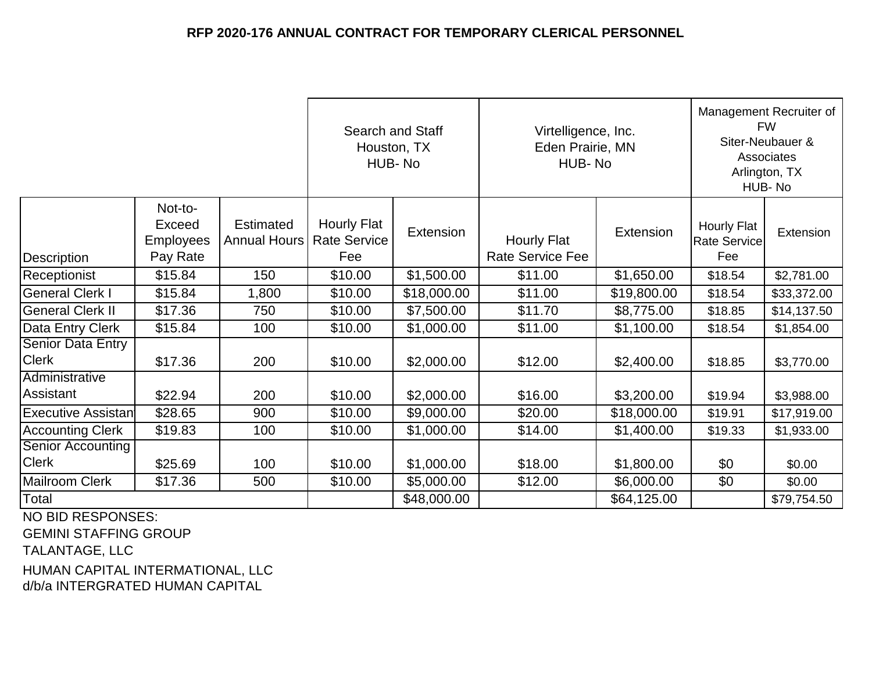|                                                            |                                                   |                                         | Search and Staff<br>Houston, TX<br>HUB-No        |                  | Virtelligence, Inc.<br>Eden Prairie, MN<br>HUB-No |             | Management Recruiter of<br><b>FW</b><br>Siter-Neubauer &<br>Associates<br>Arlington, TX<br>HUB-No |             |
|------------------------------------------------------------|---------------------------------------------------|-----------------------------------------|--------------------------------------------------|------------------|---------------------------------------------------|-------------|---------------------------------------------------------------------------------------------------|-------------|
| Description                                                | Not-to-<br>Exceed<br><b>Employees</b><br>Pay Rate | <b>Estimated</b><br><b>Annual Hours</b> | <b>Hourly Flat</b><br><b>Rate Service</b><br>Fee | <b>Extension</b> | <b>Hourly Flat</b><br><b>Rate Service Fee</b>     | Extension   | <b>Hourly Flat</b><br>Rate Service<br>Fee                                                         | Extension   |
| Receptionist                                               | \$15.84                                           | 150                                     | \$10.00                                          | \$1,500.00       | \$11.00                                           | \$1,650.00  | \$18.54                                                                                           | \$2,781.00  |
| <b>General Clerk I</b>                                     | \$15.84                                           | 1,800                                   | \$10.00                                          | \$18,000.00      | \$11.00                                           | \$19,800.00 | \$18.54                                                                                           | \$33,372.00 |
| <b>General Clerk II</b>                                    | \$17.36                                           | 750                                     | \$10.00                                          | \$7,500.00       | \$11.70                                           | \$8,775.00  | \$18.85                                                                                           | \$14,137.50 |
| Data Entry Clerk                                           | \$15.84                                           | 100                                     | \$10.00                                          | \$1,000.00       | \$11.00                                           | \$1,100.00  | \$18.54                                                                                           | \$1,854.00  |
| <b>Senior Data Entry</b><br><b>Clerk</b><br>Administrative | \$17.36                                           | 200                                     | \$10.00                                          | \$2,000.00       | \$12.00                                           | \$2,400.00  | \$18.85                                                                                           | \$3,770.00  |
| Assistant                                                  | \$22.94                                           | 200                                     | \$10.00                                          | \$2,000.00       | \$16.00                                           | \$3,200.00  | \$19.94                                                                                           | \$3,988.00  |
| <b>Executive Assistan</b>                                  | \$28.65                                           | 900                                     | \$10.00                                          | \$9,000.00       | \$20.00                                           | \$18,000.00 | \$19.91                                                                                           | \$17,919.00 |
| <b>Accounting Clerk</b>                                    | \$19.83                                           | 100                                     | \$10.00                                          | \$1,000.00       | \$14.00                                           | \$1,400.00  | \$19.33                                                                                           | \$1,933.00  |
| <b>Senior Accounting</b>                                   |                                                   |                                         |                                                  |                  |                                                   |             |                                                                                                   |             |
| <b>Clerk</b>                                               | \$25.69                                           | 100                                     | \$10.00                                          | \$1,000.00       | \$18.00                                           | \$1,800.00  | \$0                                                                                               | \$0.00      |
| <b>Mailroom Clerk</b>                                      | \$17.36                                           | 500                                     | \$10.00                                          | \$5,000.00       | \$12.00                                           | \$6,000.00  | \$0                                                                                               | \$0.00      |
| Total<br>$\overline{110}$ bib brancuara                    |                                                   |                                         |                                                  | \$48,000.00      |                                                   | \$64,125.00 |                                                                                                   | \$79,754.50 |

NO BID RESPONSES:

GEMINI STAFFING GROUP

TALANTAGE, LLC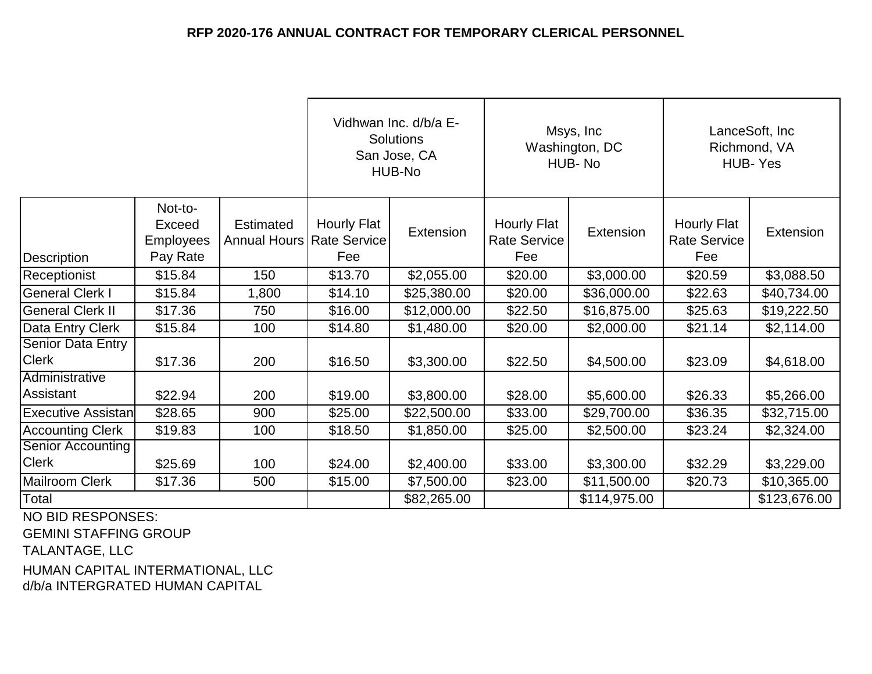|                                          |                                                   |                                                 | Vidhwan Inc. d/b/a E-<br>Solutions<br>San Jose, CA<br>HUB-No |             | Msys, Inc<br>Washington, DC<br>HUB-No     |              | LanceSoft, Inc<br>Richmond, VA<br><b>HUB-Yes</b> |              |
|------------------------------------------|---------------------------------------------------|-------------------------------------------------|--------------------------------------------------------------|-------------|-------------------------------------------|--------------|--------------------------------------------------|--------------|
| Description                              | Not-to-<br>Exceed<br><b>Employees</b><br>Pay Rate | <b>Estimated</b><br>Annual Hours   Rate Service | <b>Hourly Flat</b><br>Fee                                    | Extension   | Hourly Flat<br><b>Rate Service</b><br>Fee | Extension    | <b>Hourly Flat</b><br><b>Rate Service</b><br>Fee | Extension    |
| Receptionist                             | \$15.84                                           | 150                                             | \$13.70                                                      | \$2,055.00  | \$20.00                                   | \$3,000.00   | \$20.59                                          | \$3,088.50   |
| <b>General Clerk I</b>                   | \$15.84                                           | 1,800                                           | \$14.10                                                      | \$25,380.00 | \$20.00                                   | \$36,000.00  | \$22.63                                          | \$40,734.00  |
| <b>General Clerk II</b>                  | \$17.36                                           | 750                                             | \$16.00                                                      | \$12,000.00 | \$22.50                                   | \$16,875.00  | \$25.63                                          | \$19,222.50  |
| Data Entry Clerk                         | \$15.84                                           | 100                                             | \$14.80                                                      | \$1,480.00  | \$20.00                                   | \$2,000.00   | \$21.14                                          | \$2,114.00   |
| <b>Senior Data Entry</b><br><b>Clerk</b> | \$17.36                                           | 200                                             | \$16.50                                                      | \$3,300.00  | \$22.50                                   | \$4,500.00   | \$23.09                                          | \$4,618.00   |
| Administrative<br>Assistant              | \$22.94                                           | 200                                             | \$19.00                                                      | \$3,800.00  | \$28.00                                   | \$5,600.00   | \$26.33                                          | \$5,266.00   |
| <b>Executive Assistan</b>                | \$28.65                                           | 900                                             | \$25.00                                                      | \$22,500.00 | \$33.00                                   | \$29,700.00  | \$36.35                                          | \$32,715.00  |
| <b>Accounting Clerk</b>                  | \$19.83                                           | 100                                             | \$18.50                                                      | \$1,850.00  | \$25.00                                   | \$2,500.00   | \$23.24                                          | \$2,324.00   |
| <b>Senior Accounting</b><br><b>Clerk</b> | \$25.69                                           | 100                                             | \$24.00                                                      | \$2,400.00  | \$33.00                                   | \$3,300.00   | \$32.29                                          | \$3,229.00   |
| <b>Mailroom Clerk</b>                    | \$17.36                                           | 500                                             | \$15.00                                                      | \$7,500.00  | \$23.00                                   | \$11,500.00  | \$20.73                                          | \$10,365.00  |
| Total                                    |                                                   |                                                 |                                                              | \$82,265.00 |                                           | \$114,975.00 |                                                  | \$123,676.00 |

NO BID RESPONSES:

GEMINI STAFFING GROUP

TALANTAGE, LLC